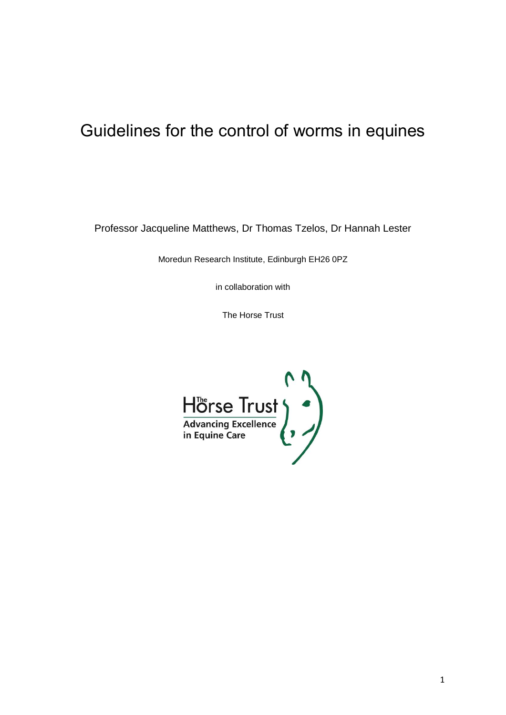# Guidelines for the control of worms in equines

Professor Jacqueline Matthews, Dr Thomas Tzelos, Dr Hannah Lester

Moredun Research Institute, Edinburgh EH26 0PZ

in collaboration with

The Horse Trust

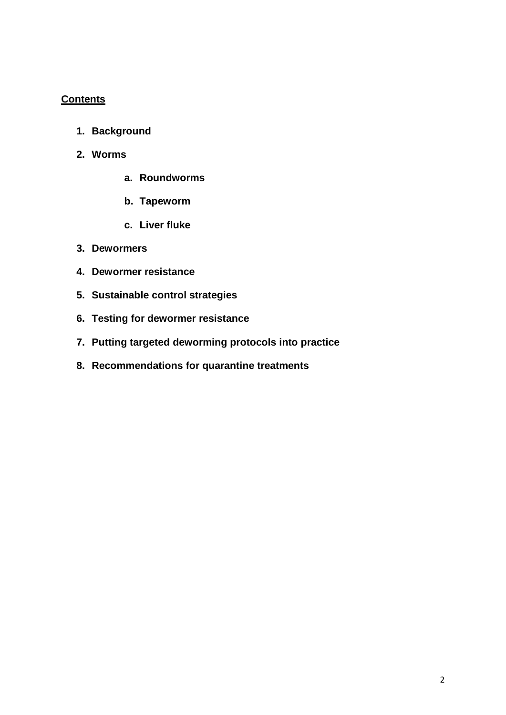# **Contents**

- **1. Background**
- **2. Worms**
	- **a. Roundworms**
	- **b. Tapeworm**
	- **c. Liver fluke**
- **3. Dewormers**
- **4. Dewormer resistance**
- **5. Sustainable control strategies**
- **6. Testing for dewormer resistance**
- **7. Putting targeted deworming protocols into practice**
- **8. Recommendations for quarantine treatments**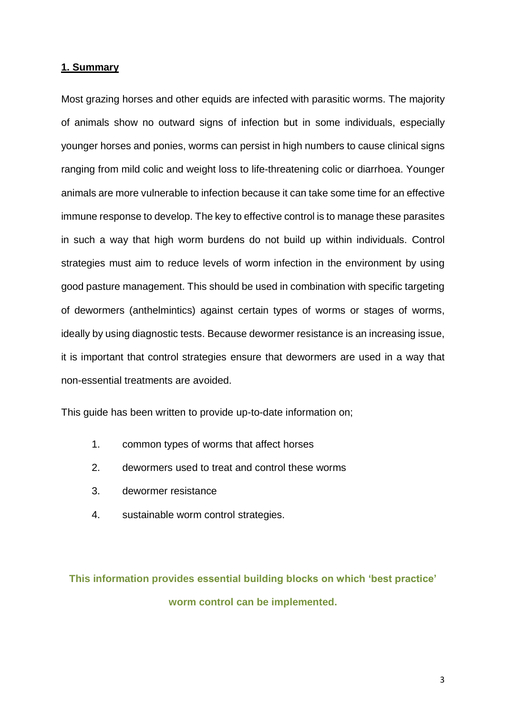#### **1. Summary**

Most grazing horses and other equids are infected with parasitic worms. The majority of animals show no outward signs of infection but in some individuals, especially younger horses and ponies, worms can persist in high numbers to cause clinical signs ranging from mild colic and weight loss to life-threatening colic or diarrhoea. Younger animals are more vulnerable to infection because it can take some time for an effective immune response to develop. The key to effective control is to manage these parasites in such a way that high worm burdens do not build up within individuals. Control strategies must aim to reduce levels of worm infection in the environment by using good pasture management. This should be used in combination with specific targeting of dewormers (anthelmintics) against certain types of worms or stages of worms, ideally by using diagnostic tests. Because dewormer resistance is an increasing issue, it is important that control strategies ensure that dewormers are used in a way that non-essential treatments are avoided.

This guide has been written to provide up-to-date information on;

- 1. common types of worms that affect horses
- 2. dewormers used to treat and control these worms
- 3. dewormer resistance
- 4. sustainable worm control strategies.

**This information provides essential building blocks on which 'best practice' worm control can be implemented.**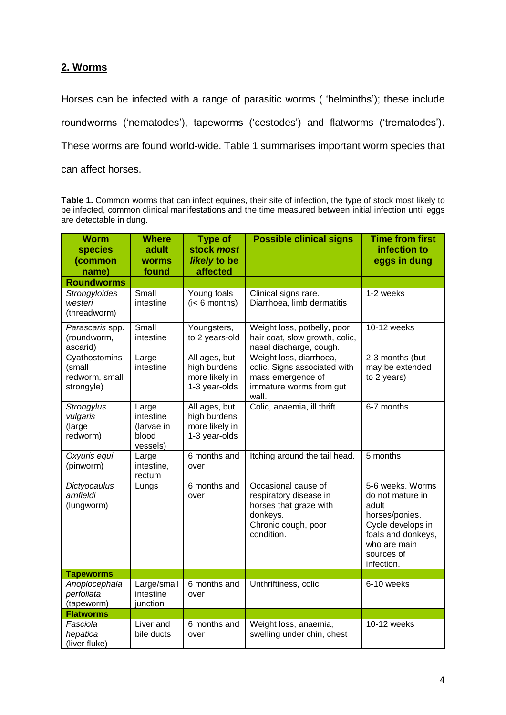# **2. Worms**

Horses can be infected with a range of parasitic worms ( 'helminths'); these include roundworms ('nematodes'), tapeworms ('cestodes') and flatworms ('trematodes'). These worms are found world-wide. Table 1 summarises important worm species that can affect horses.

**Table 1.** Common worms that can infect equines, their site of infection, the type of stock most likely to be infected, common clinical manifestations and the time measured between initial infection until eggs are detectable in dung.

| <b>Worm</b><br><b>species</b><br>(common<br>name)       | <b>Where</b><br>adult<br><b>worms</b><br>found        | <b>Type of</b><br>stock most<br>likely to be<br>affected         | <b>Possible clinical signs</b>                                                                                           | <b>Time from first</b><br>infection to<br>eggs in dung                                                                                                 |  |
|---------------------------------------------------------|-------------------------------------------------------|------------------------------------------------------------------|--------------------------------------------------------------------------------------------------------------------------|--------------------------------------------------------------------------------------------------------------------------------------------------------|--|
| <b>Roundworms</b>                                       |                                                       |                                                                  |                                                                                                                          |                                                                                                                                                        |  |
| Strongyloides<br>westeri<br>(threadworm)                | Small<br>intestine                                    | Young foals<br>$(i < 6$ months)                                  | Clinical signs rare.<br>Diarrhoea, limb dermatitis                                                                       | 1-2 weeks                                                                                                                                              |  |
| Parascaris spp.<br>(roundworm,<br>ascarid)              | Small<br>intestine                                    | Youngsters,<br>to 2 years-old                                    | Weight loss, potbelly, poor<br>hair coat, slow growth, colic,<br>nasal discharge, cough.                                 | 10-12 weeks                                                                                                                                            |  |
| Cyathostomins<br>(small<br>redworm, small<br>strongyle) | Large<br>intestine                                    | All ages, but<br>high burdens<br>more likely in<br>1-3 year-olds | Weight loss, diarrhoea,<br>colic. Signs associated with<br>mass emergence of<br>immature worms from gut<br>wall.         | 2-3 months (but<br>may be extended<br>to 2 years)                                                                                                      |  |
| Strongylus<br>vulgaris<br>(large<br>redworm)            | Large<br>intestine<br>(larvae in<br>blood<br>vessels) | All ages, but<br>high burdens<br>more likely in<br>1-3 year-olds | Colic, anaemia, ill thrift.                                                                                              | 6-7 months                                                                                                                                             |  |
| Oxyuris equi<br>(pinworm)                               | Large<br>intestine,<br>rectum                         | 6 months and<br>over                                             | Itching around the tail head.                                                                                            | 5 months                                                                                                                                               |  |
| Dictyocaulus<br>arnfieldi<br>(lungworm)                 | Lungs                                                 | 6 months and<br>over                                             | Occasional cause of<br>respiratory disease in<br>horses that graze with<br>donkeys.<br>Chronic cough, poor<br>condition. | 5-6 weeks. Worms<br>do not mature in<br>adult<br>horses/ponies.<br>Cycle develops in<br>foals and donkeys,<br>who are main<br>sources of<br>infection. |  |
| <b>Tapeworms</b>                                        |                                                       |                                                                  |                                                                                                                          |                                                                                                                                                        |  |
| Anoplocephala<br>perfoliata<br>(tapeworm)               | Large/small<br>intestine<br>junction                  | 6 months and<br>over                                             | Unthriftiness, colic                                                                                                     | 6-10 weeks                                                                                                                                             |  |
| <b>Flatworms</b>                                        |                                                       |                                                                  |                                                                                                                          |                                                                                                                                                        |  |
| Fasciola<br>hepatica<br>(liver fluke)                   | Liver and<br>bile ducts                               | 6 months and<br>over                                             | Weight loss, anaemia,<br>10-12 weeks<br>swelling under chin, chest                                                       |                                                                                                                                                        |  |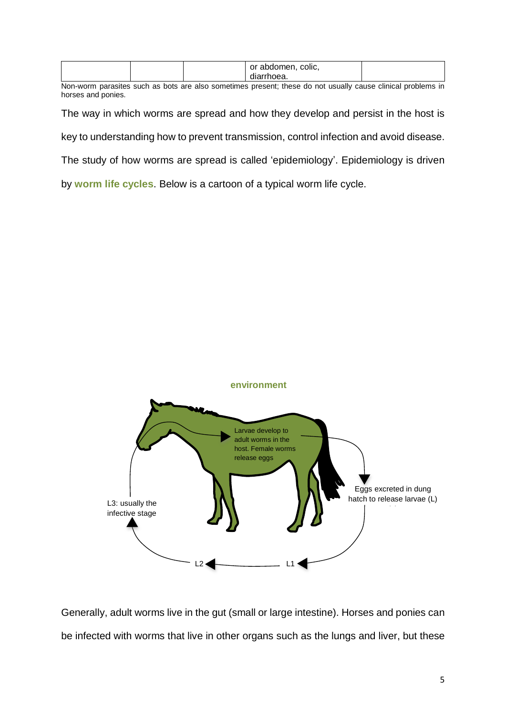|     |     | or abdomen,<br>colic, |  |               |   |     |  |
|-----|-----|-----------------------|--|---------------|---|-----|--|
|     |     | diarrhoea.            |  |               |   |     |  |
| . . | . . |                       |  | $\sim$ $\sim$ | . | . . |  |

Non-worm parasites such as bots are also sometimes present; these do not usually cause clinical problems in horses and ponies.

The way in which worms are spread and how they develop and persist in the host is

key to understanding how to prevent transmission, control infection and avoid disease.

The study of how worms are spread is called 'epidemiology'. Epidemiology is driven

by **worm life cycles**. Below is a cartoon of a typical worm life cycle.



Generally, adult worms live in the gut (small or large intestine). Horses and ponies can be infected with worms that live in other organs such as the lungs and liver, but these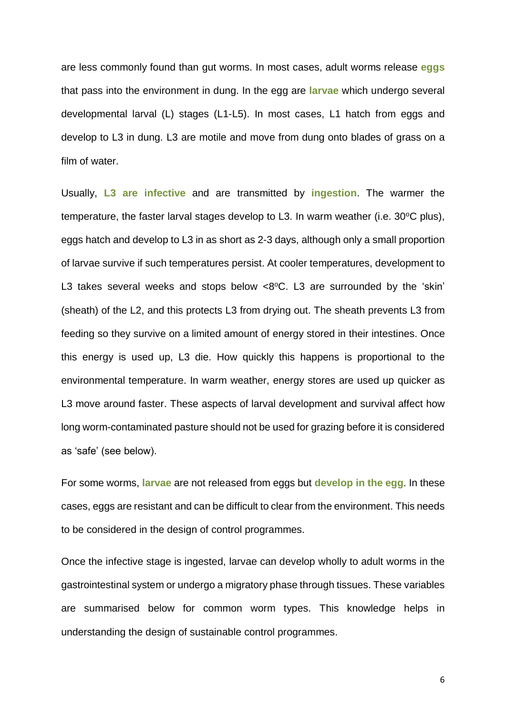are less commonly found than gut worms. In most cases, adult worms release **eggs** that pass into the environment in dung. In the egg are **larvae** which undergo several developmental larval (L) stages (L1-L5). In most cases, L1 hatch from eggs and develop to L3 in dung. L3 are motile and move from dung onto blades of grass on a film of water.

Usually, **L3 are infective** and are transmitted by **ingestion**. The warmer the temperature, the faster larval stages develop to L3. In warm weather (i.e.  $30^{\circ}$ C plus), eggs hatch and develop to L3 in as short as 2-3 days, although only a small proportion of larvae survive if such temperatures persist. At cooler temperatures, development to L3 takes several weeks and stops below  $<8°C$ . L3 are surrounded by the 'skin' (sheath) of the L2, and this protects L3 from drying out. The sheath prevents L3 from feeding so they survive on a limited amount of energy stored in their intestines. Once this energy is used up, L3 die. How quickly this happens is proportional to the environmental temperature. In warm weather, energy stores are used up quicker as L3 move around faster. These aspects of larval development and survival affect how long worm-contaminated pasture should not be used for grazing before it is considered as 'safe' (see below).

For some worms, **larvae** are not released from eggs but **develop in the egg**. In these cases, eggs are resistant and can be difficult to clear from the environment. This needs to be considered in the design of control programmes.

Once the infective stage is ingested, larvae can develop wholly to adult worms in the gastrointestinal system or undergo a migratory phase through tissues. These variables are summarised below for common worm types. This knowledge helps in understanding the design of sustainable control programmes.

6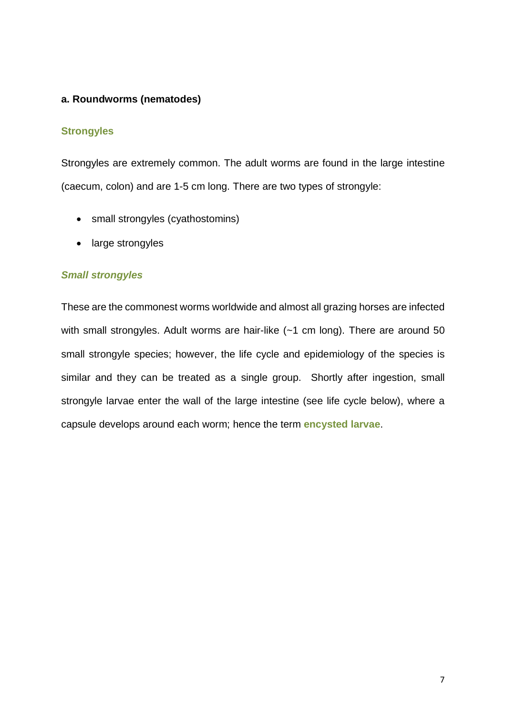# **a. Roundworms (nematodes)**

### **Strongyles**

Strongyles are extremely common. The adult worms are found in the large intestine (caecum, colon) and are 1-5 cm long. There are two types of strongyle:

- small strongyles (cyathostomins)
- large strongyles

# *Small strongyles*

These are the commonest worms worldwide and almost all grazing horses are infected with small strongyles. Adult worms are hair-like (~1 cm long). There are around 50 small strongyle species; however, the life cycle and epidemiology of the species is similar and they can be treated as a single group. Shortly after ingestion, small strongyle larvae enter the wall of the large intestine (see life cycle below), where a capsule develops around each worm; hence the term **encysted larvae**.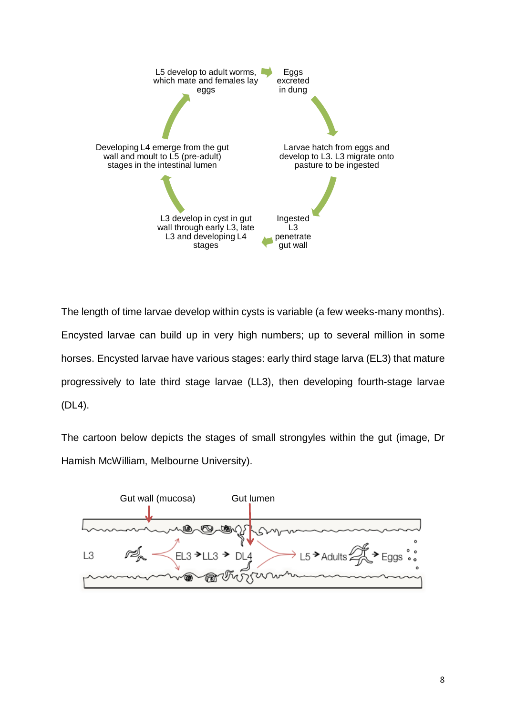

The length of time larvae develop within cysts is variable (a few weeks-many months). Encysted larvae can build up in very high numbers; up to several million in some horses. Encysted larvae have various stages: early third stage larva (EL3) that mature progressively to late third stage larvae (LL3), then developing fourth-stage larvae (DL4).

The cartoon below depicts the stages of small strongyles within the gut (image, Dr Hamish McWilliam, Melbourne University).

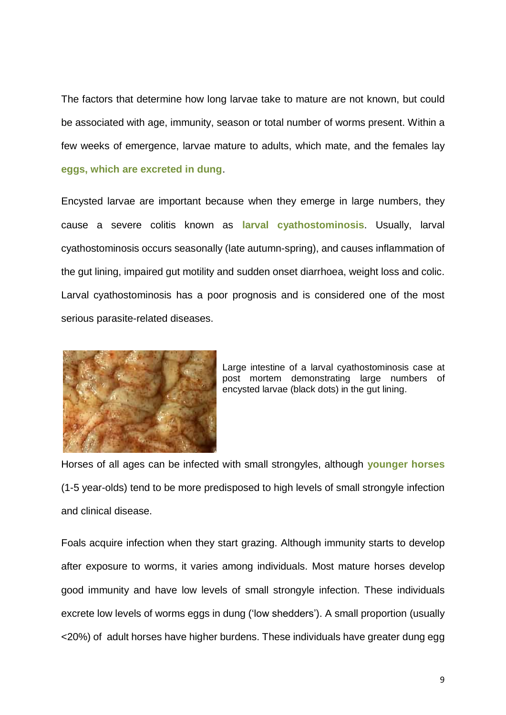The factors that determine how long larvae take to mature are not known, but could be associated with age, immunity, season or total number of worms present. Within a few weeks of emergence, larvae mature to adults, which mate, and the females lay **eggs, which are excreted in dung**.

Encysted larvae are important because when they emerge in large numbers, they cause a severe colitis known as **larval cyathostominosis**. Usually, larval cyathostominosis occurs seasonally (late autumn-spring), and causes inflammation of the gut lining, impaired gut motility and sudden onset diarrhoea, weight loss and colic. Larval cyathostominosis has a poor prognosis and is considered one of the most serious parasite-related diseases.



Large intestine of a larval cyathostominosis case at post mortem demonstrating large numbers of encysted larvae (black dots) in the gut lining.

Horses of all ages can be infected with small strongyles, although **younger horses** (1-5 year-olds) tend to be more predisposed to high levels of small strongyle infection and clinical disease.

Foals acquire infection when they start grazing. Although immunity starts to develop after exposure to worms, it varies among individuals. Most mature horses develop good immunity and have low levels of small strongyle infection. These individuals excrete low levels of worms eggs in dung ('low shedders'). A small proportion (usually <20%) of adult horses have higher burdens. These individuals have greater dung egg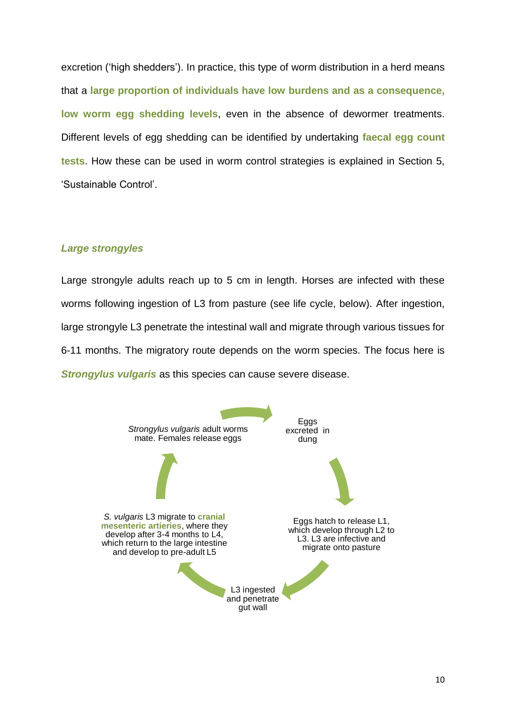excretion ('high shedders'). In practice, this type of worm distribution in a herd means that a **large proportion of individuals have low burdens and as a consequence, low worm egg shedding levels**, even in the absence of dewormer treatments. Different levels of egg shedding can be identified by undertaking **faecal egg count tests**. How these can be used in worm control strategies is explained in Section 5, 'Sustainable Control'.

# *Large strongyles*

Large strongyle adults reach up to 5 cm in length. Horses are infected with these worms following ingestion of L3 from pasture (see life cycle, below). After ingestion, large strongyle L3 penetrate the intestinal wall and migrate through various tissues for 6-11 months. The migratory route depends on the worm species. The focus here is *Strongylus vulgaris* as this species can cause severe disease.

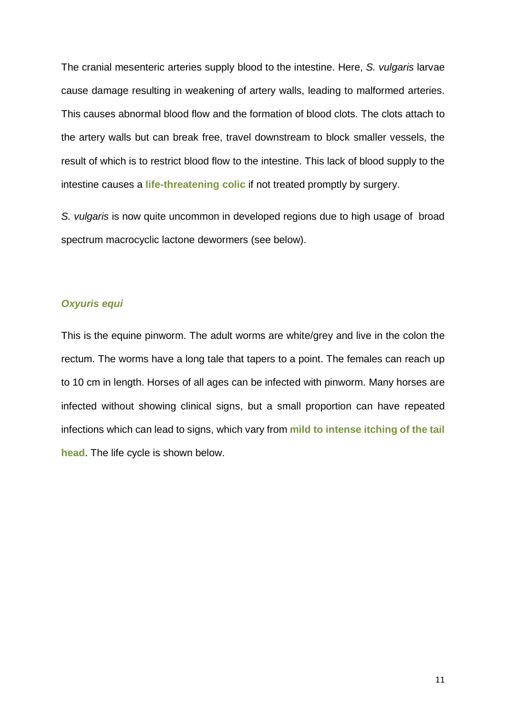The cranial mesenteric arteries supply blood to the intestine. Here, *S. vulgaris* larvae cause damage resulting in weakening of artery walls, leading to malformed arteries. This causes abnormal blood flow and the formation of blood clots. The clots attach to the artery walls but can break free, travel downstream to block smaller vessels, the result of which is to restrict blood flow to the intestine. This lack of blood supply to the intestine causes a **life-threatening colic** if not treated promptly by surgery.

*S. vulgaris* is now quite uncommon in developed regions due to high usage of broad spectrum macrocyclic lactone dewormers (see below).

## *Oxyuris equi*

This is the equine pinworm. The adult worms are white/grey and live in the colon the rectum. The worms have a long tale that tapers to a point. The females can reach up to 10 cm in length. Horses of all ages can be infected with pinworm. Many horses are infected without showing clinical signs, but a small proportion can have repeated infections which can lead to signs, which vary from **mild to intense itching of the tail head**. The life cycle is shown below.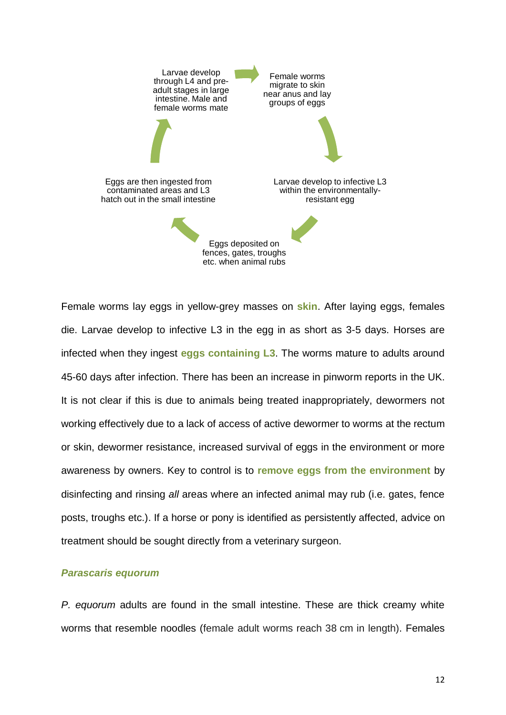

Female worms lay eggs in yellow-grey masses on **skin**. After laying eggs, females die. Larvae develop to infective L3 in the egg in as short as 3-5 days. Horses are infected when they ingest **eggs containing L3**. The worms mature to adults around 45-60 days after infection. There has been an increase in pinworm reports in the UK. It is not clear if this is due to animals being treated inappropriately, dewormers not working effectively due to a lack of access of active dewormer to worms at the rectum or skin, dewormer resistance, increased survival of eggs in the environment or more awareness by owners. Key to control is to **remove eggs from the environment** by disinfecting and rinsing *all* areas where an infected animal may rub (i.e. gates, fence posts, troughs etc.). If a horse or pony is identified as persistently affected, advice on treatment should be sought directly from a veterinary surgeon.

#### *Parascaris equorum*

*P. equorum* adults are found in the small intestine. These are thick creamy white worms that resemble noodles (female adult worms reach 38 cm in length). Females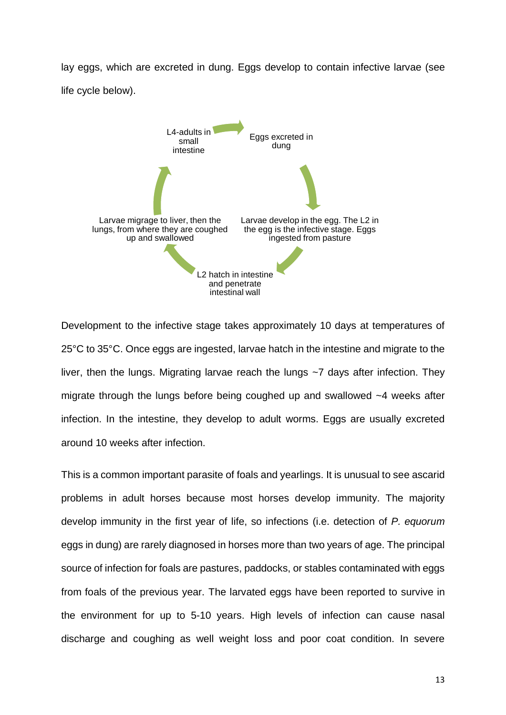lay eggs, which are excreted in dung. Eggs develop to contain infective larvae (see life cycle below).



Development to the infective stage takes approximately 10 days at temperatures of 25°C to 35°C. Once eggs are ingested, larvae hatch in the intestine and migrate to the liver, then the lungs. Migrating larvae reach the lungs ~7 days after infection. They migrate through the lungs before being coughed up and swallowed ~4 weeks after infection. In the intestine, they develop to adult worms. Eggs are usually excreted around 10 weeks after infection.

This is a common important parasite of foals and yearlings. It is unusual to see ascarid problems in adult horses because most horses develop immunity. The majority develop immunity in the first year of life, so infections (i.e. detection of *P. equorum*  eggs in dung) are rarely diagnosed in horses more than two years of age. The principal source of infection for foals are pastures, paddocks, or stables contaminated with eggs from foals of the previous year. The larvated eggs have been reported to survive in the environment for up to 5-10 years. High levels of infection can cause nasal discharge and coughing as well weight loss and poor coat condition. In severe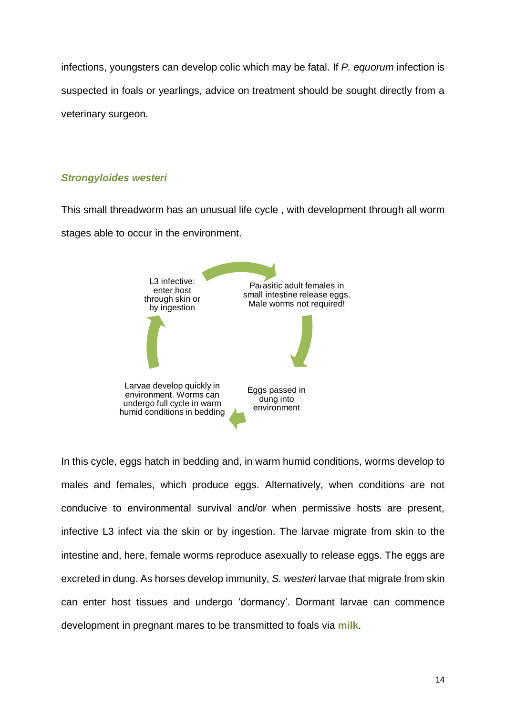infections, youngsters can develop colic which may be fatal. If *P. equorum* infection is suspected in foals or yearlings, advice on treatment should be sought directly from a veterinary surgeon.

# *Strongyloides westeri*

This small threadworm has an unusual life cycle , with development through all worm stages able to occur in the environment.



In this cycle, eggs hatch in bedding and, in warm humid conditions, worms develop to males and females, which produce eggs. Alternatively, when conditions are not conducive to environmental survival and/or when permissive hosts are present, infective L3 infect via the skin or by ingestion. The larvae migrate from skin to the intestine and, here, female worms reproduce asexually to release eggs. The eggs are excreted in dung. As horses develop immunity, *S. westeri* larvae that migrate from skin can enter host tissues and undergo 'dormancy'. Dormant larvae can commence development in pregnant mares to be transmitted to foals via **milk**.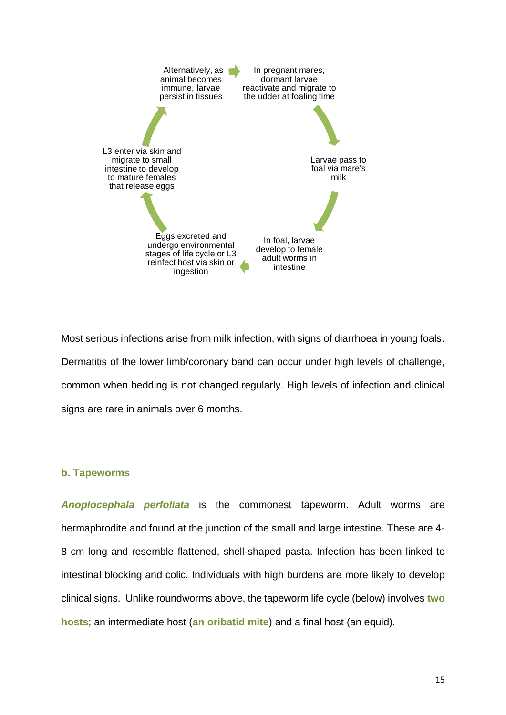

Most serious infections arise from milk infection, with signs of diarrhoea in young foals. Dermatitis of the lower limb/coronary band can occur under high levels of challenge, common when bedding is not changed regularly. High levels of infection and clinical signs are rare in animals over 6 months.

# **b. Tapeworms**

*Anoplocephala perfoliata* is the commonest tapeworm. Adult worms are hermaphrodite and found at the junction of the small and large intestine. These are 4- 8 cm long and resemble flattened, shell-shaped pasta. Infection has been linked to intestinal blocking and colic. Individuals with high burdens are more likely to develop clinical signs. Unlike roundworms above, the tapeworm life cycle (below) involves **two hosts**; an intermediate host (**an oribatid mite**) and a final host (an equid).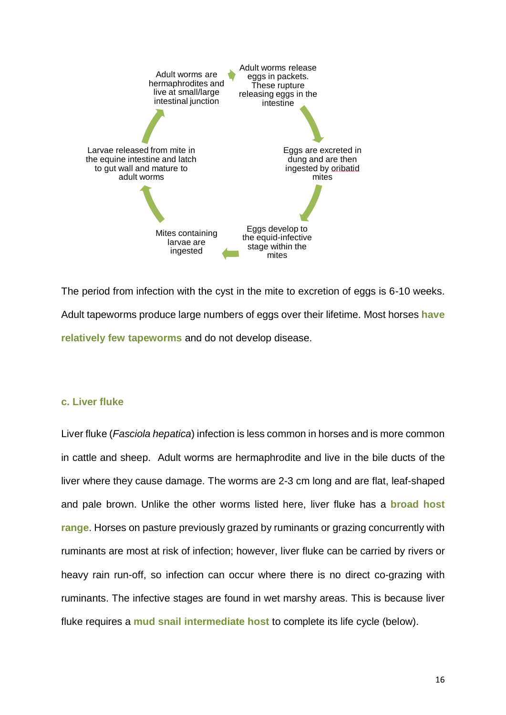

The period from infection with the cyst in the mite to excretion of eggs is 6-10 weeks. Adult tapeworms produce large numbers of eggs over their lifetime. Most horses **have relatively few tapeworms** and do not develop disease.

# **c. Liver fluke**

Liver fluke (*Fasciola hepatica*) infection is less common in horses and is more common in cattle and sheep. Adult worms are hermaphrodite and live in the bile ducts of the liver where they cause damage. The worms are 2-3 cm long and are flat, leaf-shaped and pale brown. Unlike the other worms listed here, liver fluke has a **broad host range**. Horses on pasture previously grazed by ruminants or grazing concurrently with ruminants are most at risk of infection; however, liver fluke can be carried by rivers or heavy rain run-off, so infection can occur where there is no direct co-grazing with ruminants. The infective stages are found in wet marshy areas. This is because liver fluke requires a **mud snail intermediate host** to complete its life cycle (below).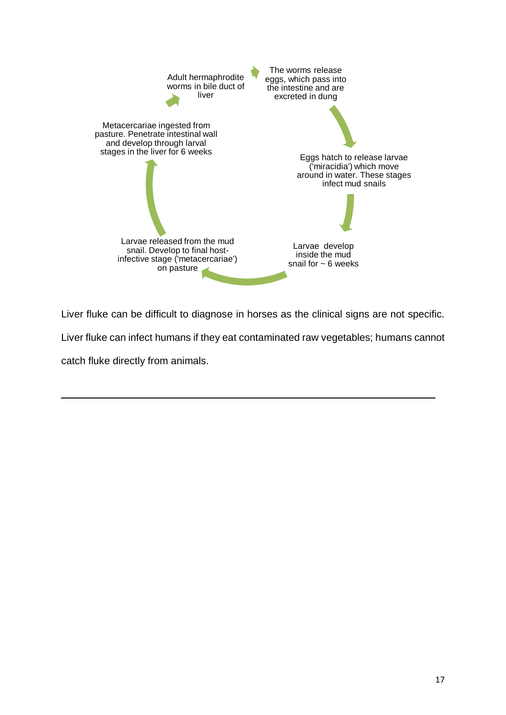

Liver fluke can be difficult to diagnose in horses as the clinical signs are not specific.

Liver fluke can infect humans if they eat contaminated raw vegetables; humans cannot

 **a** and the contract of the contract of the contract of the contract of the contract of the contract of the contract of the contract of the contract of the contract of the contract of the contract of the contract of the c

catch fluke directly from animals.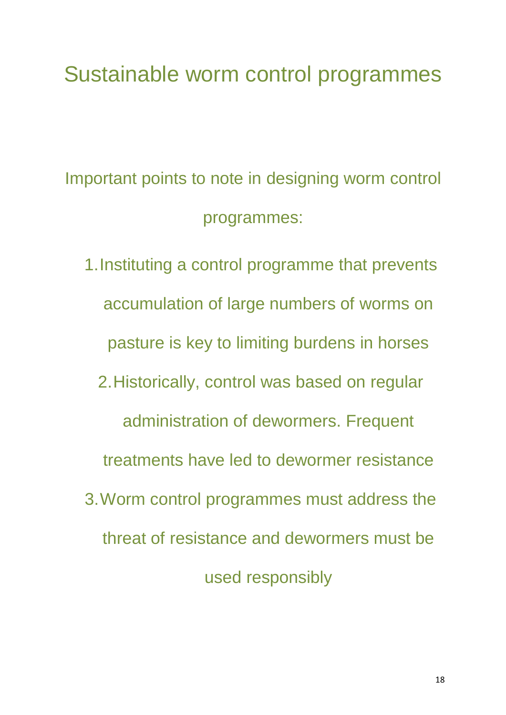# Sustainable worm control programmes

Important points to note in designing worm control programmes:

1.Instituting a control programme that prevents accumulation of large numbers of worms on pasture is key to limiting burdens in horses 2.Historically, control was based on regular administration of dewormers. Frequent treatments have led to dewormer resistance 3.Worm control programmes must address the threat of resistance and dewormers must be used responsibly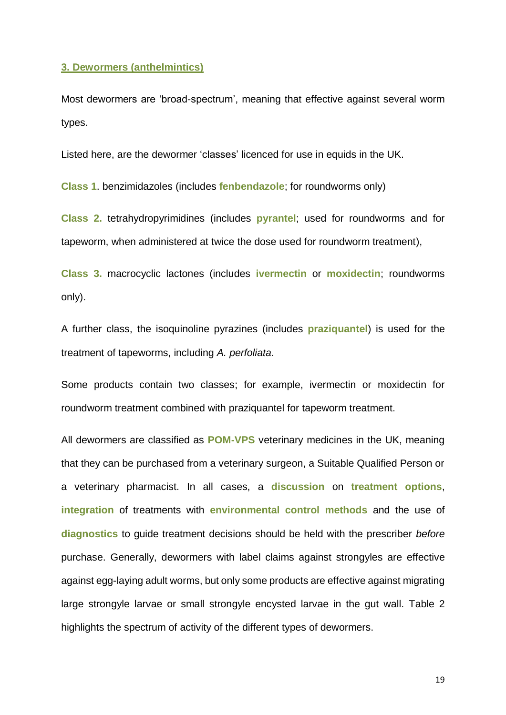#### **3. Dewormers (anthelmintics)**

Most dewormers are 'broad-spectrum', meaning that effective against several worm types.

Listed here, are the dewormer 'classes' licenced for use in equids in the UK.

**Class 1**. benzimidazoles (includes **fenbendazole**; for roundworms only)

**Class 2.** tetrahydropyrimidines (includes **pyrantel**; used for roundworms and for tapeworm, when administered at twice the dose used for roundworm treatment),

**Class 3.** macrocyclic lactones (includes **ivermectin** or **moxidectin**; roundworms only).

A further class, the isoquinoline pyrazines (includes **praziquantel**) is used for the treatment of tapeworms, including *A. perfoliata*.

Some products contain two classes; for example, ivermectin or moxidectin for roundworm treatment combined with praziquantel for tapeworm treatment.

All dewormers are classified as **POM-VPS** veterinary medicines in the UK, meaning that they can be purchased from a veterinary surgeon, a Suitable Qualified Person or a veterinary pharmacist. In all cases, a **discussion** on **treatment options**, **integration** of treatments with **environmental control methods** and the use of **diagnostics** to guide treatment decisions should be held with the prescriber *before* purchase. Generally, dewormers with label claims against strongyles are effective against egg-laying adult worms, but only some products are effective against migrating large strongyle larvae or small strongyle encysted larvae in the gut wall. Table 2 highlights the spectrum of activity of the different types of dewormers.

19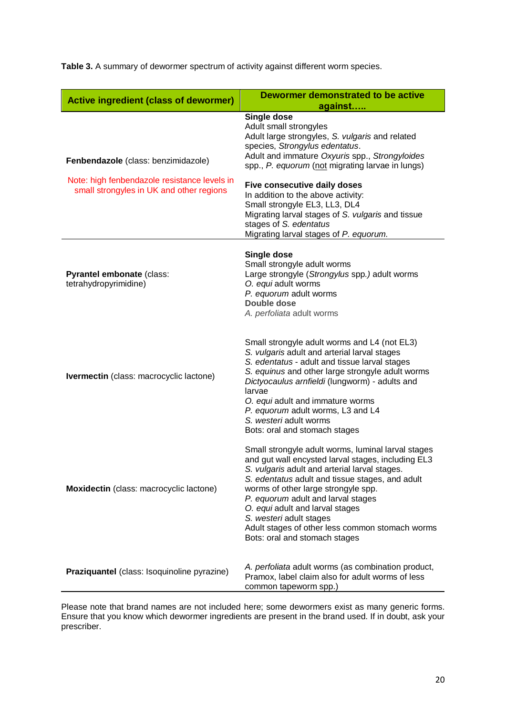| <b>Active ingredient (class of dewormer)</b>                                        | Dewormer demonstrated to be active<br>against                                                                                                                                                                                                                                                                                                                                                                                               |
|-------------------------------------------------------------------------------------|---------------------------------------------------------------------------------------------------------------------------------------------------------------------------------------------------------------------------------------------------------------------------------------------------------------------------------------------------------------------------------------------------------------------------------------------|
| Fenbendazole (class: benzimidazole)<br>Note: high fenbendazole resistance levels in | Single dose<br>Adult small strongyles<br>Adult large strongyles, S. vulgaris and related<br>species, Strongylus edentatus.<br>Adult and immature Oxyuris spp., Strongyloides<br>spp., P. equorum (not migrating larvae in lungs)                                                                                                                                                                                                            |
| small strongyles in UK and other regions                                            | <b>Five consecutive daily doses</b><br>In addition to the above activity:<br>Small strongyle EL3, LL3, DL4<br>Migrating larval stages of S. vulgaris and tissue<br>stages of S. edentatus<br>Migrating larval stages of P. equorum.                                                                                                                                                                                                         |
| Pyrantel embonate (class:<br>tetrahydropyrimidine)                                  | Single dose<br>Small strongyle adult worms<br>Large strongyle (Strongylus spp.) adult worms<br>O. equi adult worms<br>P. equorum adult worms<br>Double dose<br>A. perfoliata adult worms                                                                                                                                                                                                                                                    |
| Ivermectin (class: macrocyclic lactone)                                             | Small strongyle adult worms and L4 (not EL3)<br>S. vulgaris adult and arterial larval stages<br>S. edentatus - adult and tissue larval stages<br>S. equinus and other large strongyle adult worms<br>Dictyocaulus arnfieldi (lungworm) - adults and<br>larvae<br>O. equi adult and immature worms<br>P. equorum adult worms, L3 and L4<br>S. westeri adult worms<br>Bots: oral and stomach stages                                           |
| Moxidectin (class: macrocyclic lactone)                                             | Small strongyle adult worms, luminal larval stages<br>and gut wall encysted larval stages, including EL3<br>S. vulgaris adult and arterial larval stages.<br>S. edentatus adult and tissue stages, and adult<br>worms of other large strongyle spp.<br>P. equorum adult and larval stages<br>O. equi adult and larval stages<br>S. westeri adult stages<br>Adult stages of other less common stomach worms<br>Bots: oral and stomach stages |
| Praziquantel (class: Isoquinoline pyrazine)                                         | A. perfoliata adult worms (as combination product,<br>Pramox, label claim also for adult worms of less<br>common tapeworm spp.)                                                                                                                                                                                                                                                                                                             |

**Table 3.** A summary of dewormer spectrum of activity against different worm species.

Please note that brand names are not included here; some dewormers exist as many generic forms. Ensure that you know which dewormer ingredients are present in the brand used. If in doubt, ask your prescriber.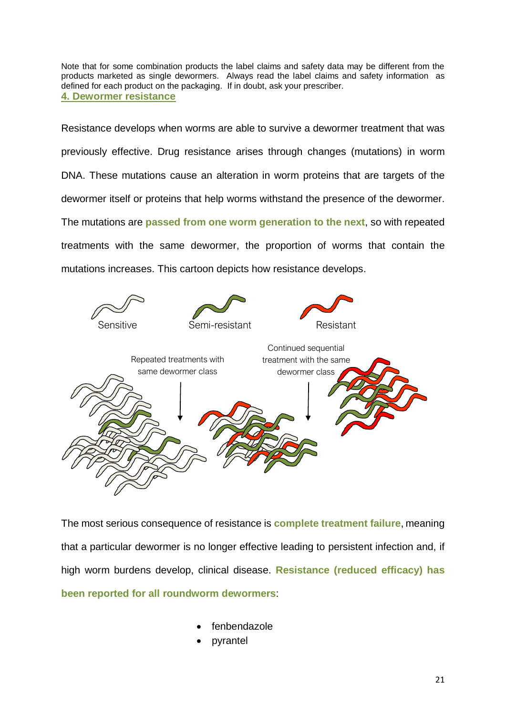Note that for some combination products the label claims and safety data may be different from the products marketed as single dewormers. Always read the label claims and safety information as defined for each product on the packaging. If in doubt, ask your prescriber. **4. Dewormer resistance**

Resistance develops when worms are able to survive a dewormer treatment that was previously effective. Drug resistance arises through changes (mutations) in worm DNA. These mutations cause an alteration in worm proteins that are targets of the dewormer itself or proteins that help worms withstand the presence of the dewormer. The mutations are **passed from one worm generation to the next**, so with repeated treatments with the same dewormer, the proportion of worms that contain the mutations increases. This cartoon depicts how resistance develops.



The most serious consequence of resistance is **complete treatment failure**, meaning that a particular dewormer is no longer effective leading to persistent infection and, if high worm burdens develop, clinical disease. **Resistance (reduced efficacy) has been reported for all roundworm dewormers**:

- **fenbendazole**
- **pyrantel**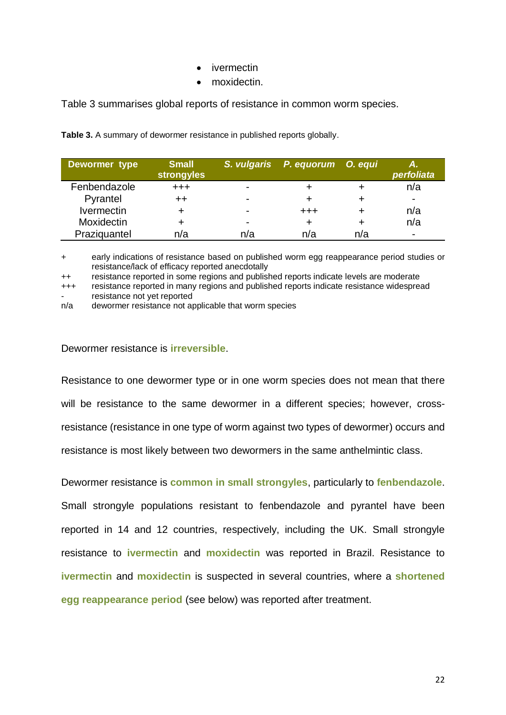- ivermectin
- moxidectin.

Table 3 summarises global reports of resistance in common worm species.

| Dewormer type     | <b>Small</b><br><b>strongyles</b> |                          | S. vulgaris P. equorum O. equi |     | Α.<br>perfoliata         |
|-------------------|-----------------------------------|--------------------------|--------------------------------|-----|--------------------------|
| Fenbendazole      | $^{+++}$                          | $\overline{\phantom{0}}$ |                                |     | n/a                      |
| Pyrantel          |                                   | -                        |                                |     | $\overline{\phantom{0}}$ |
| <b>Ivermectin</b> |                                   | -                        | $^{\small +++}$                |     | n/a                      |
| <b>Moxidectin</b> |                                   | $\overline{\phantom{0}}$ |                                |     | n/a                      |
| Praziquantel      | n/a                               | n/a                      | n/a                            | n/a | $\overline{\phantom{a}}$ |

**Table 3.** A summary of dewormer resistance in published reports globally.

+ early indications of resistance based on published worm egg reappearance period studies or resistance/lack of efficacy reported anecdotally

++ resistance reported in some regions and published reports indicate levels are moderate

+++ resistance reported in many regions and published reports indicate resistance widespread resistance not yet reported

n/a dewormer resistance not applicable that worm species

### Dewormer resistance is **irreversible**.

Resistance to one dewormer type or in one worm species does not mean that there will be resistance to the same dewormer in a different species; however, crossresistance (resistance in one type of worm against two types of dewormer) occurs and resistance is most likely between two dewormers in the same anthelmintic class.

Dewormer resistance is **common in small strongyles**, particularly to **fenbendazole**. Small strongyle populations resistant to fenbendazole and pyrantel have been reported in 14 and 12 countries, respectively, including the UK. Small strongyle resistance to **ivermectin** and **moxidectin** was reported in Brazil. Resistance to **ivermectin** and **moxidectin** is suspected in several countries, where a **shortened egg reappearance period** (see below) was reported after treatment.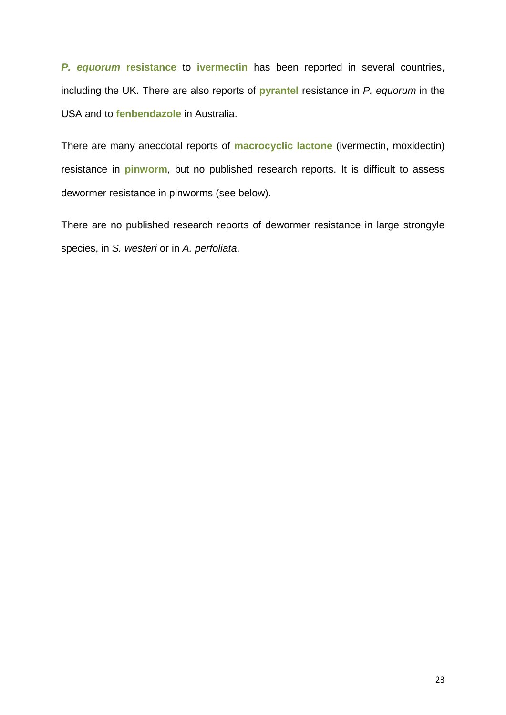*P. equorum* **resistance** to **ivermectin** has been reported in several countries, including the UK. There are also reports of **pyrantel** resistance in *P. equorum* in the USA and to **fenbendazole** in Australia.

There are many anecdotal reports of **macrocyclic lactone** (ivermectin, moxidectin) resistance in **pinworm**, but no published research reports. It is difficult to assess dewormer resistance in pinworms (see below).

There are no published research reports of dewormer resistance in large strongyle species, in *S. westeri* or in *A. perfoliata*.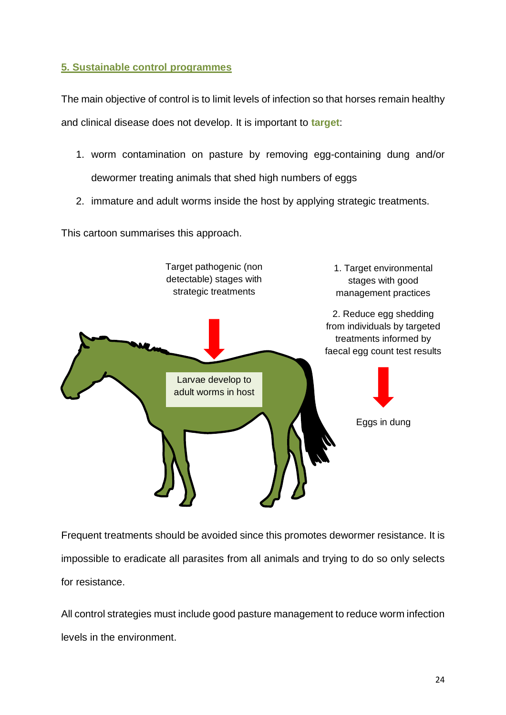# **5. Sustainable control programmes**

The main objective of control is to limit levels of infection so that horses remain healthy and clinical disease does not develop. It is important to **target**:

- 1. worm contamination on pasture by removing egg-containing dung and/or dewormer treating animals that shed high numbers of eggs
- 2. immature and adult worms inside the host by applying strategic treatments.

This cartoon summarises this approach.



Frequent treatments should be avoided since this promotes dewormer resistance. It is impossible to eradicate all parasites from all animals and trying to do so only selects for resistance.

All control strategies must include good pasture management to reduce worm infection levels in the environment.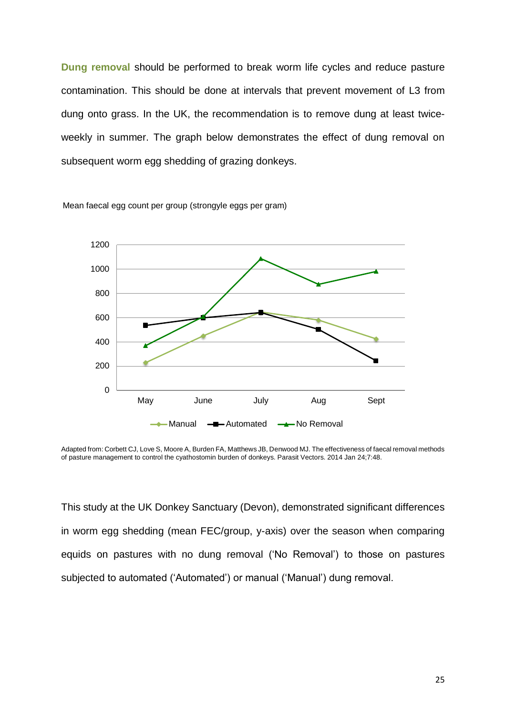**Dung removal** should be performed to break worm life cycles and reduce pasture contamination. This should be done at intervals that prevent movement of L3 from dung onto grass. In the UK, the recommendation is to remove dung at least twiceweekly in summer. The graph below demonstrates the effect of dung removal on subsequent worm egg shedding of grazing donkeys.



Mean faecal egg count per group (strongyle eggs per gram)

This study at the UK Donkey Sanctuary (Devon), demonstrated significant differences in worm egg shedding (mean FEC/group, y-axis) over the season when comparing equids on pastures with no dung removal ('No Removal') to those on pastures subjected to automated ('Automated') or manual ('Manual') dung removal.

Adapted from: Corbett CJ, Love S, Moore A, Burden FA, Matthews JB, Denwood MJ. The effectiveness of faecal removal methods of pasture management to control the cyathostomin burden of donkeys. Parasit Vectors. 2014 Jan 24;7:48.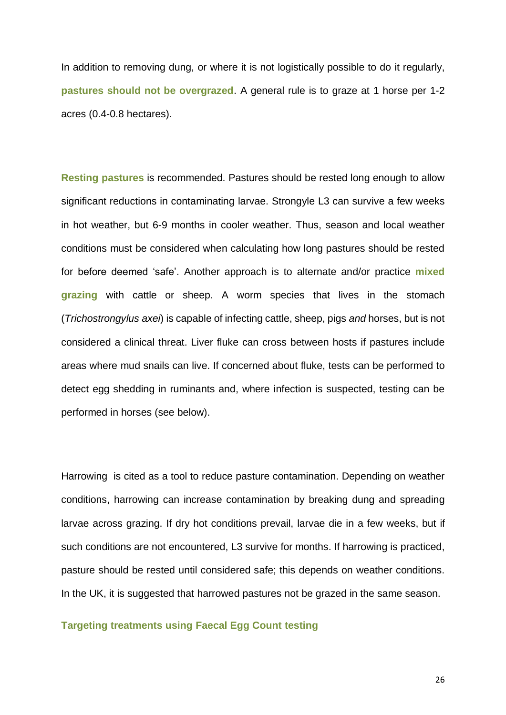In addition to removing dung, or where it is not logistically possible to do it regularly, **pastures should not be overgrazed**. A general rule is to graze at 1 horse per 1-2 acres (0.4-0.8 hectares).

**Resting pastures** is recommended. Pastures should be rested long enough to allow significant reductions in contaminating larvae. Strongyle L3 can survive a few weeks in hot weather, but 6-9 months in cooler weather. Thus, season and local weather conditions must be considered when calculating how long pastures should be rested for before deemed 'safe'. Another approach is to alternate and/or practice **mixed grazing** with cattle or sheep. A worm species that lives in the stomach (*Trichostrongylus axei*) is capable of infecting cattle, sheep, pigs *and* horses, but is not considered a clinical threat. Liver fluke can cross between hosts if pastures include areas where mud snails can live. If concerned about fluke, tests can be performed to detect egg shedding in ruminants and, where infection is suspected, testing can be performed in horses (see below).

Harrowing is cited as a tool to reduce pasture contamination. Depending on weather conditions, harrowing can increase contamination by breaking dung and spreading larvae across grazing. If dry hot conditions prevail, larvae die in a few weeks, but if such conditions are not encountered, L3 survive for months. If harrowing is practiced, pasture should be rested until considered safe; this depends on weather conditions. In the UK, it is suggested that harrowed pastures not be grazed in the same season.

#### **Targeting treatments using Faecal Egg Count testing**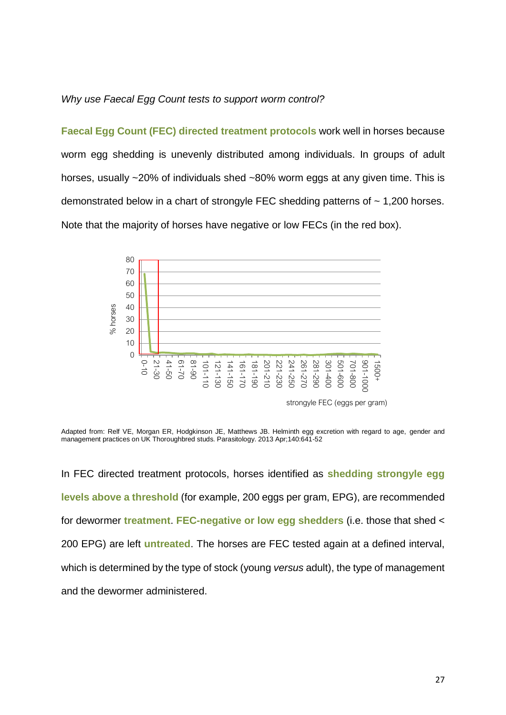#### *Why use Faecal Egg Count tests to support worm control?*

**Faecal Egg Count (FEC) directed treatment protocols** work well in horses because worm egg shedding is unevenly distributed among individuals. In groups of adult horses, usually ~20% of individuals shed ~80% worm eggs at any given time. This is demonstrated below in a chart of strongyle FEC shedding patterns of  $\sim$  1,200 horses. Note that the majority of horses have negative or low FECs (in the red box).



strongyle FEC (eggs per gram)

Adapted from: Relf VE, Morgan ER, Hodgkinson JE, Matthews JB. Helminth egg excretion with regard to age, gender and management practices on UK Thoroughbred studs. Parasitology. 2013 Apr;140:641-52

In FEC directed treatment protocols, horses identified as **shedding strongyle egg levels above a threshold** (for example, 200 eggs per gram, EPG), are recommended for dewormer **treatment**. **FEC-negative or low egg shedders** (i.e. those that shed < 200 EPG) are left **untreated**. The horses are FEC tested again at a defined interval, which is determined by the type of stock (young *versus* adult), the type of management and the dewormer administered.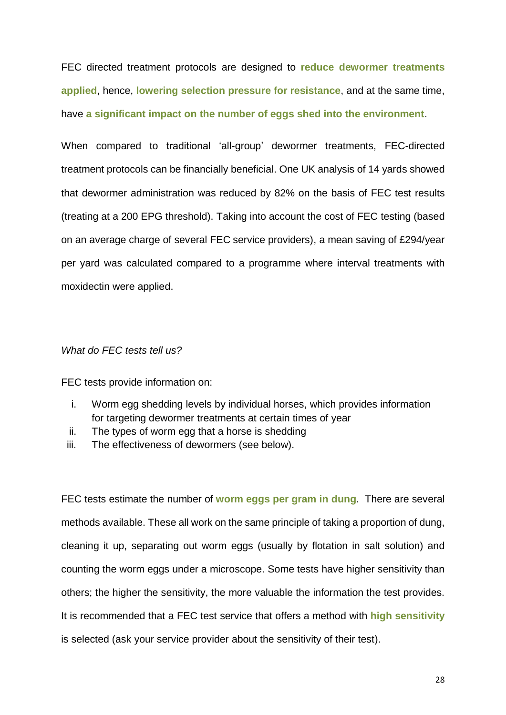FEC directed treatment protocols are designed to **reduce dewormer treatments applied**, hence, **lowering selection pressure for resistance**, and at the same time, have **a significant impact on the number of eggs shed into the environment**.

When compared to traditional 'all-group' dewormer treatments, FEC-directed treatment protocols can be financially beneficial. One UK analysis of 14 yards showed that dewormer administration was reduced by 82% on the basis of FEC test results (treating at a 200 EPG threshold). Taking into account the cost of FEC testing (based on an average charge of several FEC service providers), a mean saving of £294/year per yard was calculated compared to a programme where interval treatments with moxidectin were applied.

#### *What do FEC tests tell us?*

FEC tests provide information on:

- i. Worm egg shedding levels by individual horses, which provides information for targeting dewormer treatments at certain times of year
- ii. The types of worm egg that a horse is shedding
- iii. The effectiveness of dewormers (see below).

FEC tests estimate the number of **worm eggs per gram in dung**. There are several methods available. These all work on the same principle of taking a proportion of dung, cleaning it up, separating out worm eggs (usually by flotation in salt solution) and counting the worm eggs under a microscope. Some tests have higher sensitivity than others; the higher the sensitivity, the more valuable the information the test provides. It is recommended that a FEC test service that offers a method with **high sensitivity** is selected (ask your service provider about the sensitivity of their test).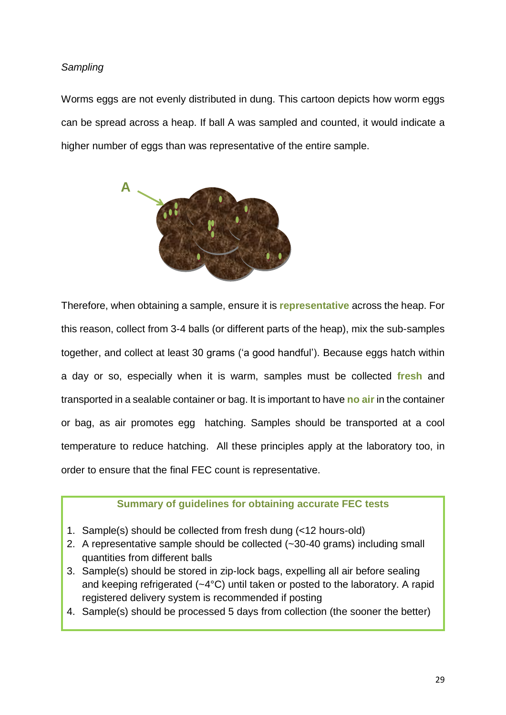# *Sampling*

Worms eggs are not evenly distributed in dung. This cartoon depicts how worm eggs can be spread across a heap. If ball A was sampled and counted, it would indicate a higher number of eggs than was representative of the entire sample.



Therefore, when obtaining a sample, ensure it is **representative** across the heap. For this reason, collect from 3-4 balls (or different parts of the heap), mix the sub-samples together, and collect at least 30 grams ('a good handful'). Because eggs hatch within a day or so, especially when it is warm, samples must be collected **fresh** and transported in a sealable container or bag. It is important to have **no air** in the container or bag, as air promotes egg hatching. Samples should be transported at a cool temperature to reduce hatching. All these principles apply at the laboratory too, in order to ensure that the final FEC count is representative.

# **Summary of guidelines for obtaining accurate FEC tests**

- 1. Sample(s) should be collected from fresh dung (<12 hours-old)
- 2. A representative sample should be collected (~30-40 grams) including small quantities from different balls
- 3. Sample(s) should be stored in zip-lock bags, expelling all air before sealing and keeping refrigerated (~4°C) until taken or posted to the laboratory. A rapid registered delivery system is recommended if posting
- 4. Sample(s) should be processed 5 days from collection (the sooner the better)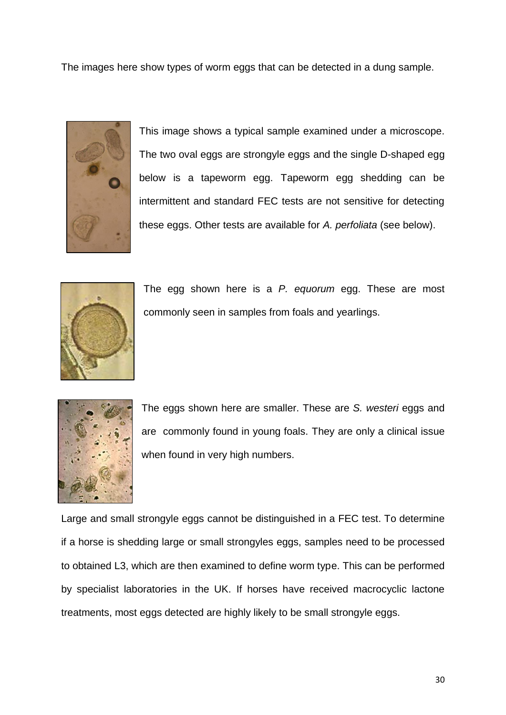The images here show types of worm eggs that can be detected in a dung sample.



This image shows a typical sample examined under a microscope. The two oval eggs are strongyle eggs and the single D-shaped egg below is a tapeworm egg. Tapeworm egg shedding can be intermittent and standard FEC tests are not sensitive for detecting these eggs. Other tests are available for *A. perfoliata* (see below).



The egg shown here is a *P. equorum* egg. These are most commonly seen in samples from foals and yearlings.



The eggs shown here are smaller. These are *S. westeri* eggs and are commonly found in young foals. They are only a clinical issue when found in very high numbers.

Large and small strongyle eggs cannot be distinguished in a FEC test. To determine if a horse is shedding large or small strongyles eggs, samples need to be processed to obtained L3, which are then examined to define worm type. This can be performed by specialist laboratories in the UK. If horses have received macrocyclic lactone treatments, most eggs detected are highly likely to be small strongyle eggs.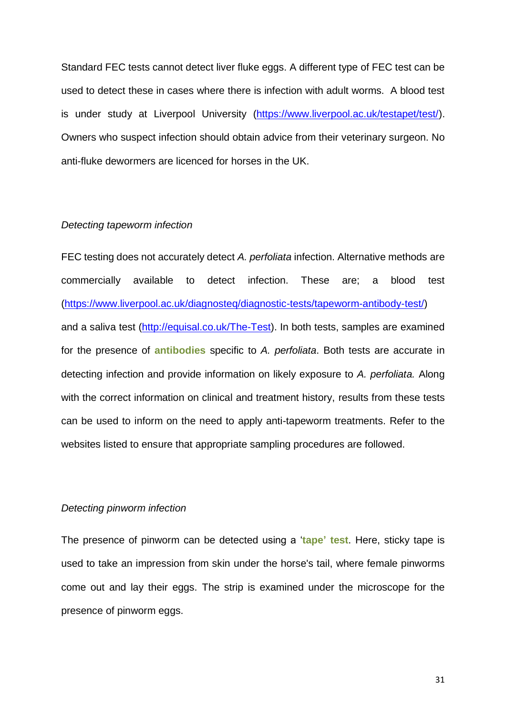Standard FEC tests cannot detect liver fluke eggs. A different type of FEC test can be used to detect these in cases where there is infection with adult worms. A blood test is under study at Liverpool University [\(https://www.liverpool.ac.uk/testapet/test/\)](https://www.liverpool.ac.uk/testapet/test/). Owners who suspect infection should obtain advice from their veterinary surgeon. No anti-fluke dewormers are licenced for horses in the UK.

#### *Detecting tapeworm infection*

FEC testing does not accurately detect *A. perfoliata* infection. Alternative methods are commercially available to detect infection. These are; a blood test [\(https://www.liverpool.ac.uk/diagnosteq/diagnostic-tests/tapeworm-antibody-test/\)](https://www.liverpool.ac.uk/diagnosteq/diagnostic-tests/tapeworm-antibody-test/) and a saliva test [\(http://equisal.co.uk/The-Test\)](http://equisal.co.uk/The-Test). In both tests, samples are examined for the presence of **antibodies** specific to *A. perfoliata*. Both tests are accurate in detecting infection and provide information on likely exposure to *A. perfoliata.* Along with the correct information on clinical and treatment history, results from these tests can be used to inform on the need to apply anti-tapeworm treatments. Refer to the websites listed to ensure that appropriate sampling procedures are followed.

## *Detecting pinworm infection*

The presence of pinworm can be detected using a '**tape' test**. Here, sticky tape is used to take an impression from skin under the horse's tail, where female pinworms come out and lay their eggs. The strip is examined under the microscope for the presence of pinworm eggs.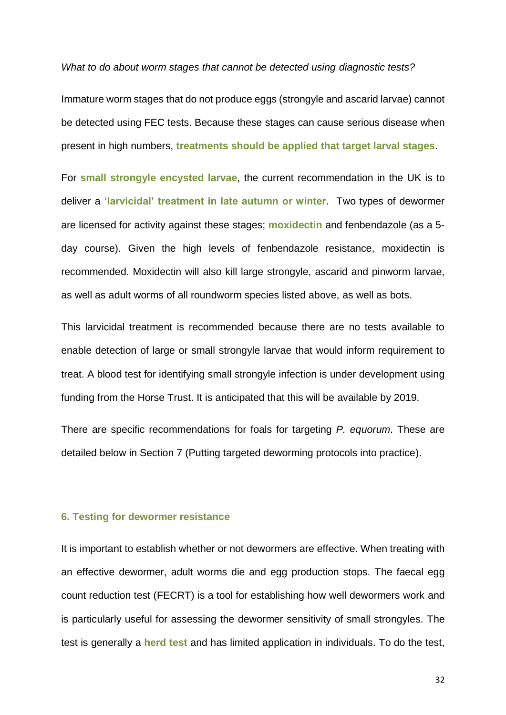*What to do about worm stages that cannot be detected using diagnostic tests?*

Immature worm stages that do not produce eggs (strongyle and ascarid larvae) cannot be detected using FEC tests. Because these stages can cause serious disease when present in high numbers, **treatments should be applied that target larval stages**.

For **small strongyle encysted larvae**, the current recommendation in the UK is to deliver a **'larvicidal' treatment in late autumn or winter**. Two types of dewormer are licensed for activity against these stages; **moxidectin** and fenbendazole (as a 5 day course). Given the high levels of fenbendazole resistance, moxidectin is recommended. Moxidectin will also kill large strongyle, ascarid and pinworm larvae, as well as adult worms of all roundworm species listed above, as well as bots.

This larvicidal treatment is recommended because there are no tests available to enable detection of large or small strongyle larvae that would inform requirement to treat. A blood test for identifying small strongyle infection is under development using funding from the Horse Trust. It is anticipated that this will be available by 2019.

There are specific recommendations for foals for targeting *P. equorum*. These are detailed below in Section 7 (Putting targeted deworming protocols into practice).

#### **6. Testing for dewormer resistance**

It is important to establish whether or not dewormers are effective. When treating with an effective dewormer, adult worms die and egg production stops. The faecal egg count reduction test (FECRT) is a tool for establishing how well dewormers work and is particularly useful for assessing the dewormer sensitivity of small strongyles. The test is generally a **herd test** and has limited application in individuals. To do the test,

32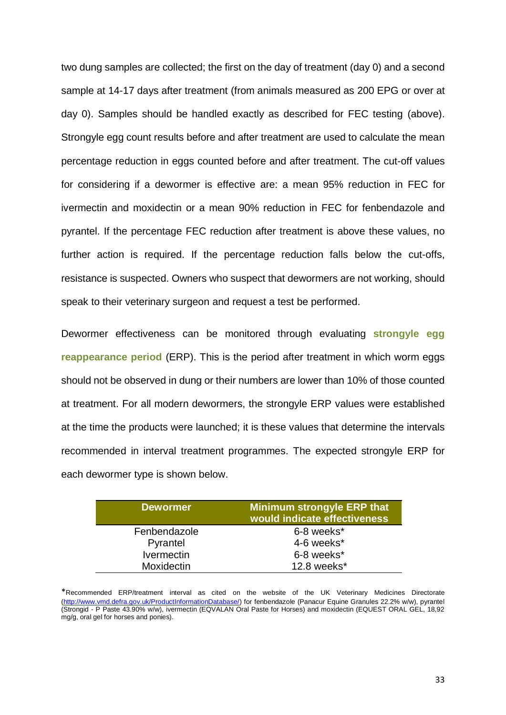two dung samples are collected; the first on the day of treatment (day 0) and a second sample at 14-17 days after treatment (from animals measured as 200 EPG or over at day 0). Samples should be handled exactly as described for FEC testing (above). Strongyle egg count results before and after treatment are used to calculate the mean percentage reduction in eggs counted before and after treatment. The cut-off values for considering if a dewormer is effective are: a mean 95% reduction in FEC for ivermectin and moxidectin or a mean 90% reduction in FEC for fenbendazole and pyrantel. If the percentage FEC reduction after treatment is above these values, no further action is required. If the percentage reduction falls below the cut-offs, resistance is suspected. Owners who suspect that dewormers are not working, should speak to their veterinary surgeon and request a test be performed.

Dewormer effectiveness can be monitored through evaluating **strongyle egg reappearance period** (ERP). This is the period after treatment in which worm eggs should not be observed in dung or their numbers are lower than 10% of those counted at treatment. For all modern dewormers, the strongyle ERP values were established at the time the products were launched; it is these values that determine the intervals recommended in interval treatment programmes. The expected strongyle ERP for each dewormer type is shown below.

| <b>Dewormer</b>   | <b>Minimum strongyle ERP that</b><br>would indicate effectiveness |  |  |
|-------------------|-------------------------------------------------------------------|--|--|
| Fenbendazole      | 6-8 weeks*                                                        |  |  |
| Pyrantel          | 4-6 weeks*                                                        |  |  |
| <b>Ivermectin</b> | 6-8 weeks*                                                        |  |  |
| Moxidectin        | 12.8 weeks*                                                       |  |  |

<sup>\*</sup>Recommended ERP/treatment interval as cited on the website of the UK Veterinary Medicines Directorate [\(http://www.vmd.defra.gov.uk/ProductInformationDatabase/\)](http://www.vmd.defra.gov.uk/ProductInformationDatabase/) for fenbendazole (Panacur Equine Granules 22.2% w/w), pyrantel (Strongid - P Paste 43.90% w/w), ivermectin (EQVALAN Oral Paste for Horses) and moxidectin (EQUEST ORAL GEL, 18,92 mg/g, oral gel for horses and ponies).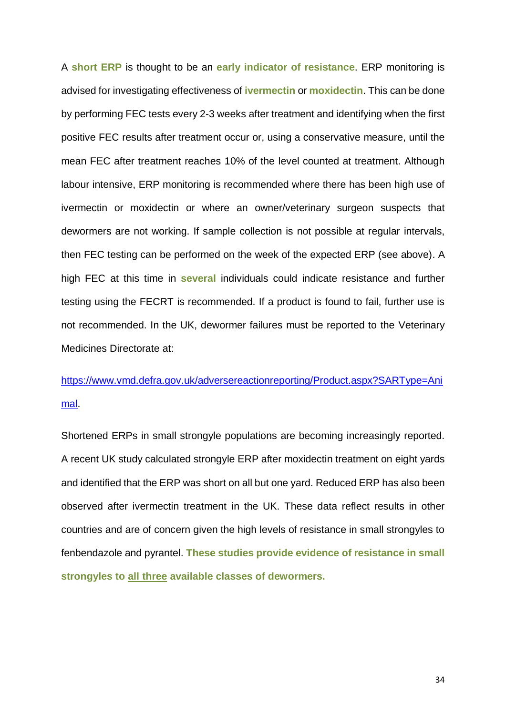A **short ERP** is thought to be an **early indicator of resistance**. ERP monitoring is advised for investigating effectiveness of **ivermectin** or **moxidectin**. This can be done by performing FEC tests every 2-3 weeks after treatment and identifying when the first positive FEC results after treatment occur or, using a conservative measure, until the mean FEC after treatment reaches 10% of the level counted at treatment. Although labour intensive, ERP monitoring is recommended where there has been high use of ivermectin or moxidectin or where an owner/veterinary surgeon suspects that dewormers are not working. If sample collection is not possible at regular intervals, then FEC testing can be performed on the week of the expected ERP (see above). A high FEC at this time in **several** individuals could indicate resistance and further testing using the FECRT is recommended. If a product is found to fail, further use is not recommended. In the UK, dewormer failures must be reported to the Veterinary Medicines Directorate at:

[https://www.vmd.defra.gov.uk/adversereactionreporting/Product.aspx?SARType=Ani](https://www.vmd.defra.gov.uk/adversereactionreporting/Product.aspx?SARType=Animal) [mal.](https://www.vmd.defra.gov.uk/adversereactionreporting/Product.aspx?SARType=Animal)

Shortened ERPs in small strongyle populations are becoming increasingly reported. A recent UK study calculated strongyle ERP after moxidectin treatment on eight yards and identified that the ERP was short on all but one yard. Reduced ERP has also been observed after ivermectin treatment in the UK. These data reflect results in other countries and are of concern given the high levels of resistance in small strongyles to fenbendazole and pyrantel. **These studies provide evidence of resistance in small strongyles to all three available classes of dewormers.**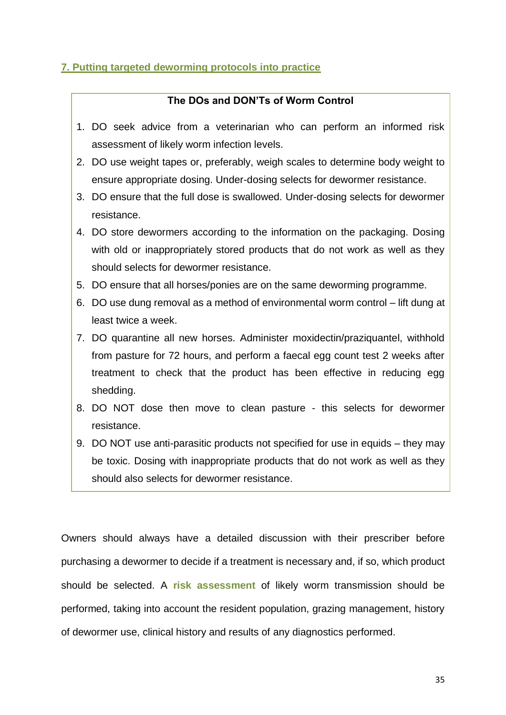# **7. Putting targeted deworming protocols into practice**

### **The DOs and DON'Ts of Worm Control**

- 1. DO seek advice from a veterinarian who can perform an informed risk assessment of likely worm infection levels.
- 2. DO use weight tapes or, preferably, weigh scales to determine body weight to ensure appropriate dosing. Under-dosing selects for dewormer resistance.
- 3. DO ensure that the full dose is swallowed. Under-dosing selects for dewormer resistance.
- 4. DO store dewormers according to the information on the packaging. Dosing with old or inappropriately stored products that do not work as well as they should selects for dewormer resistance.
- 5. DO ensure that all horses/ponies are on the same deworming programme.
- 6. DO use dung removal as a method of environmental worm control lift dung at least twice a week.
- 7. DO quarantine all new horses. Administer moxidectin/praziquantel, withhold from pasture for 72 hours, and perform a faecal egg count test 2 weeks after treatment to check that the product has been effective in reducing egg shedding.
- 8. DO NOT dose then move to clean pasture this selects for dewormer resistance.
- 9. DO NOT use anti-parasitic products not specified for use in equids they may be toxic. Dosing with inappropriate products that do not work as well as they should also selects for dewormer resistance.

Owners should always have a detailed discussion with their prescriber before purchasing a dewormer to decide if a treatment is necessary and, if so, which product should be selected. A **risk assessment** of likely worm transmission should be performed, taking into account the resident population, grazing management, history of dewormer use, clinical history and results of any diagnostics performed.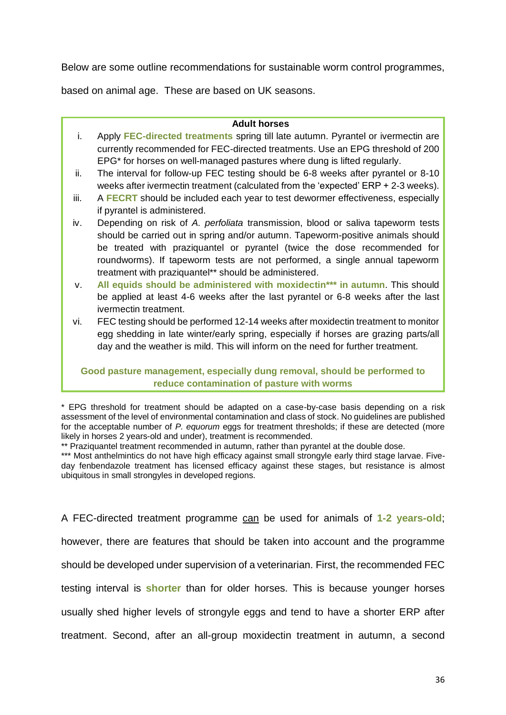Below are some outline recommendations for sustainable worm control programmes,

based on animal age. These are based on UK seasons.

#### **Adult horses**

- i. Apply **FEC-directed treatments** spring till late autumn. Pyrantel or ivermectin are currently recommended for FEC-directed treatments. Use an EPG threshold of 200 EPG\* for horses on well-managed pastures where dung is lifted regularly.
- ii. The interval for follow-up FEC testing should be 6-8 weeks after pyrantel or 8-10 weeks after ivermectin treatment (calculated from the 'expected' ERP + 2-3 weeks).
- iii. A **FECRT** should be included each year to test dewormer effectiveness, especially if pyrantel is administered.
- iv. Depending on risk of *A. perfoliata* transmission, blood or saliva tapeworm tests should be carried out in spring and/or autumn. Tapeworm-positive animals should be treated with praziquantel or pyrantel (twice the dose recommended for roundworms). If tapeworm tests are not performed, a single annual tapeworm treatment with praziquantel\*\* should be administered.
- v. **All equids should be administered with moxidectin\*\*\* in autumn**. This should be applied at least 4-6 weeks after the last pyrantel or 6-8 weeks after the last ivermectin treatment.
- vi. FEC testing should be performed 12-14 weeks after moxidectin treatment to monitor egg shedding in late winter/early spring, especially if horses are grazing parts/all day and the weather is mild. This will inform on the need for further treatment.

# **Good pasture management, especially dung removal, should be performed to reduce contamination of pasture with worms**

\*\* Praziquantel treatment recommended in autumn, rather than pyrantel at the double dose.

\*\*\* Most anthelmintics do not have high efficacy against small strongyle early third stage larvae. Fiveday fenbendazole treatment has licensed efficacy against these stages, but resistance is almost ubiquitous in small strongyles in developed regions.

A FEC-directed treatment programme can be used for animals of **1-2 years-old**; however, there are features that should be taken into account and the programme should be developed under supervision of a veterinarian. First, the recommended FEC testing interval is **shorter** than for older horses. This is because younger horses usually shed higher levels of strongyle eggs and tend to have a shorter ERP after treatment. Second, after an all-group moxidectin treatment in autumn, a second

<sup>\*</sup> EPG threshold for treatment should be adapted on a case-by-case basis depending on a risk assessment of the level of environmental contamination and class of stock. No guidelines are published for the acceptable number of *P. equorum* eggs for treatment thresholds; if these are detected (more likely in horses 2 years-old and under), treatment is recommended.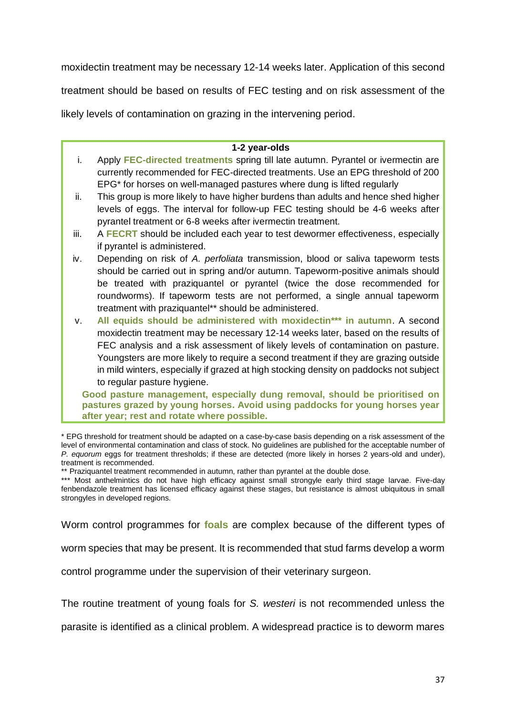moxidectin treatment may be necessary 12-14 weeks later. Application of this second

treatment should be based on results of FEC testing and on risk assessment of the

likely levels of contamination on grazing in the intervening period.

#### **1-2 year-olds**

- i. Apply **FEC-directed treatments** spring till late autumn. Pyrantel or ivermectin are currently recommended for FEC-directed treatments. Use an EPG threshold of 200 EPG\* for horses on well-managed pastures where dung is lifted regularly
- ii. This group is more likely to have higher burdens than adults and hence shed higher levels of eggs. The interval for follow-up FEC testing should be 4-6 weeks after pyrantel treatment or 6-8 weeks after ivermectin treatment.
- iii. A **FECRT** should be included each year to test dewormer effectiveness, especially if pyrantel is administered.
- iv. Depending on risk of *A. perfoliata* transmission, blood or saliva tapeworm tests should be carried out in spring and/or autumn. Tapeworm-positive animals should be treated with praziquantel or pyrantel (twice the dose recommended for roundworms). If tapeworm tests are not performed, a single annual tapeworm treatment with praziquantel\*\* should be administered.
- v. **All equids should be administered with moxidectin\*\*\* in autumn**. A second moxidectin treatment may be necessary 12-14 weeks later, based on the results of FEC analysis and a risk assessment of likely levels of contamination on pasture. Youngsters are more likely to require a second treatment if they are grazing outside in mild winters, especially if grazed at high stocking density on paddocks not subject to regular pasture hygiene.

**Good pasture management, especially dung removal, should be prioritised on pastures grazed by young horses. Avoid using paddocks for young horses year after year; rest and rotate where possible.**

\* EPG threshold for treatment should be adapted on a case-by-case basis depending on a risk assessment of the level of environmental contamination and class of stock. No guidelines are published for the acceptable number of *P. equorum* eggs for treatment thresholds; if these are detected (more likely in horses 2 years-old and under), treatment is recommended.

\*\* Praziquantel treatment recommended in autumn, rather than pyrantel at the double dose.

\*\*\* Most anthelmintics do not have high efficacy against small strongyle early third stage larvae. Five-day fenbendazole treatment has licensed efficacy against these stages, but resistance is almost ubiquitous in small strongyles in developed regions.

Worm control programmes for **foals** are complex because of the different types of

worm species that may be present. It is recommended that stud farms develop a worm

control programme under the supervision of their veterinary surgeon.

The routine treatment of young foals for *S. westeri* is not recommended unless the

parasite is identified as a clinical problem. A widespread practice is to deworm mares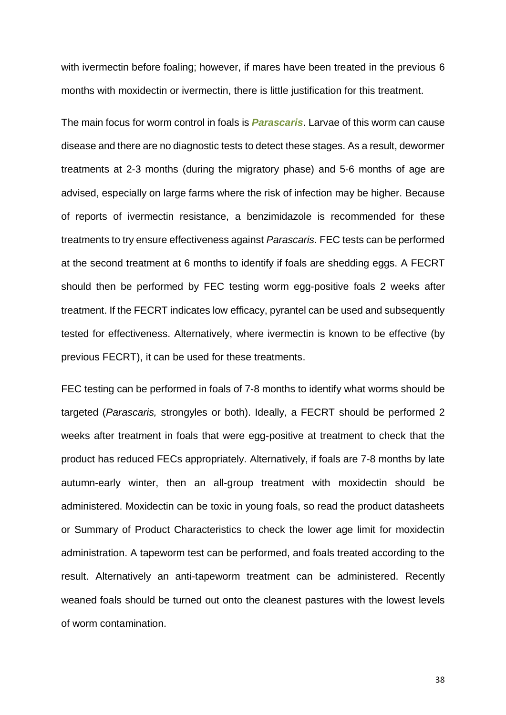with ivermectin before foaling; however, if mares have been treated in the previous 6 months with moxidectin or ivermectin, there is little justification for this treatment.

The main focus for worm control in foals is *Parascaris*. Larvae of this worm can cause disease and there are no diagnostic tests to detect these stages. As a result, dewormer treatments at 2-3 months (during the migratory phase) and 5-6 months of age are advised, especially on large farms where the risk of infection may be higher. Because of reports of ivermectin resistance, a benzimidazole is recommended for these treatments to try ensure effectiveness against *Parascaris*. FEC tests can be performed at the second treatment at 6 months to identify if foals are shedding eggs. A FECRT should then be performed by FEC testing worm egg-positive foals 2 weeks after treatment. If the FECRT indicates low efficacy, pyrantel can be used and subsequently tested for effectiveness. Alternatively, where ivermectin is known to be effective (by previous FECRT), it can be used for these treatments.

FEC testing can be performed in foals of 7-8 months to identify what worms should be targeted (*Parascaris,* strongyles or both). Ideally, a FECRT should be performed 2 weeks after treatment in foals that were egg-positive at treatment to check that the product has reduced FECs appropriately. Alternatively, if foals are 7-8 months by late autumn-early winter, then an all-group treatment with moxidectin should be administered. Moxidectin can be toxic in young foals, so read the product datasheets or Summary of Product Characteristics to check the lower age limit for moxidectin administration. A tapeworm test can be performed, and foals treated according to the result. Alternatively an anti-tapeworm treatment can be administered. Recently weaned foals should be turned out onto the cleanest pastures with the lowest levels of worm contamination.

38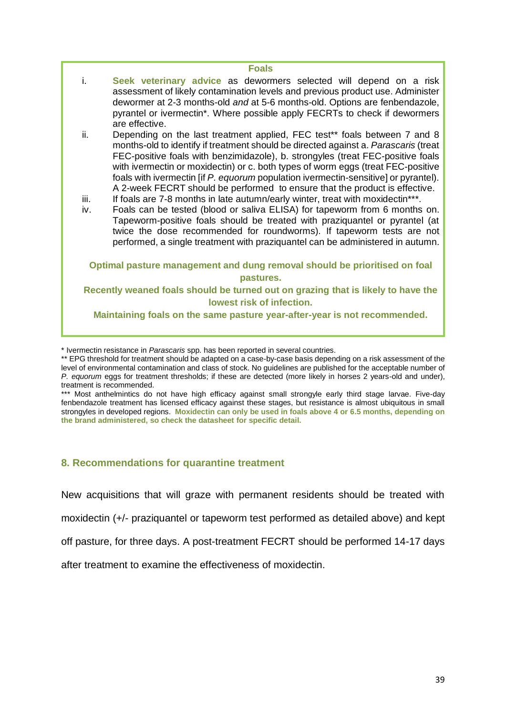#### **Foals**

- i. **Seek veterinary advice** as dewormers selected will depend on a risk assessment of likely contamination levels and previous product use. Administer dewormer at 2-3 months-old *and* at 5-6 months-old. Options are fenbendazole, pyrantel or ivermectin\*. Where possible apply FECRTs to check if dewormers are effective.
- ii. Depending on the last treatment applied, FEC test\*\* foals between 7 and 8 months-old to identify if treatment should be directed against a. *Parascaris* (treat FEC-positive foals with benzimidazole), b. strongyles (treat FEC-positive foals with ivermectin or moxidectin) or c. both types of worm eggs (treat FEC-positive foals with ivermectin [if *P. equorum* population ivermectin-sensitive] or pyrantel). A 2-week FECRT should be performed to ensure that the product is effective.
- iii. If foals are 7-8 months in late autumn/early winter, treat with moxidectin\*\*\*.
- iv. Foals can be tested (blood or saliva ELISA) for tapeworm from 6 months on. Tapeworm-positive foals should be treated with praziquantel or pyrantel (at twice the dose recommended for roundworms). If tapeworm tests are not performed, a single treatment with praziquantel can be administered in autumn.

### **Optimal pasture management and dung removal should be prioritised on foal pastures.**

#### **Recently weaned foals should be turned out on grazing that is likely to have the lowest risk of infection.**

**Maintaining foals on the same pasture year-after-year is not recommended.**

\* Ivermectin resistance in *Parascaris* spp. has been reported in several countries.

\*\*\* Most anthelmintics do not have high efficacy against small strongyle early third stage larvae. Five-day fenbendazole treatment has licensed efficacy against these stages, but resistance is almost ubiquitous in small strongyles in developed regions. **Moxidectin can only be used in foals above 4 or 6.5 months, depending on the brand administered, so check the datasheet for specific detail.**

# **8. Recommendations for quarantine treatment**

New acquisitions that will graze with permanent residents should be treated with

moxidectin (+/- praziquantel or tapeworm test performed as detailed above) and kept

off pasture, for three days. A post-treatment FECRT should be performed 14-17 days

after treatment to examine the effectiveness of moxidectin.

<sup>\*\*</sup> EPG threshold for treatment should be adapted on a case-by-case basis depending on a risk assessment of the level of environmental contamination and class of stock. No guidelines are published for the acceptable number of *P. equorum* eggs for treatment thresholds; if these are detected (more likely in horses 2 years-old and under), treatment is recommended.